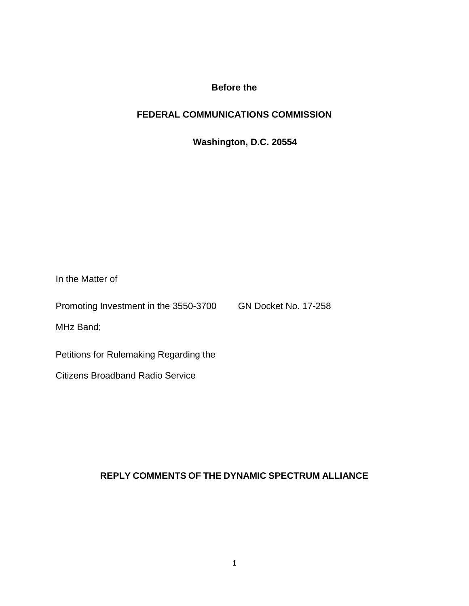# **Before the**

# **FEDERAL COMMUNICATIONS COMMISSION**

**Washington, D.C. 20554**

| In the Matter of                       |                             |
|----------------------------------------|-----------------------------|
| Promoting Investment in the 3550-3700  | <b>GN Docket No. 17-258</b> |
| MHz Band;                              |                             |
| Petitions for Rulemaking Regarding the |                             |
| Citizens Broadband Radio Service       |                             |

# **REPLY COMMENTS OF THE DYNAMIC SPECTRUM ALLIANCE**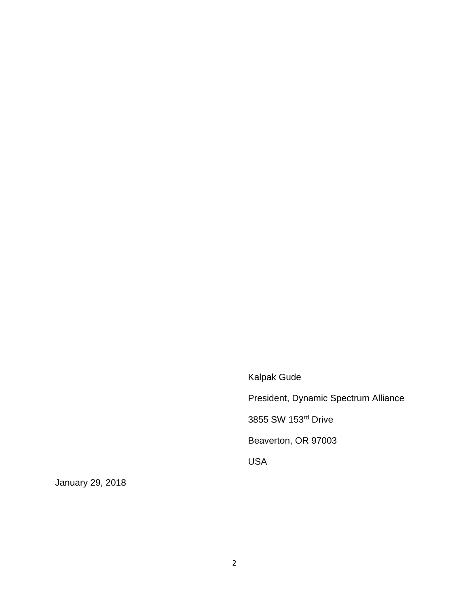Kalpak Gude President, Dynamic Spectrum Alliance 3855 SW 153rd Drive Beaverton, OR 97003 USA

January 29, 2018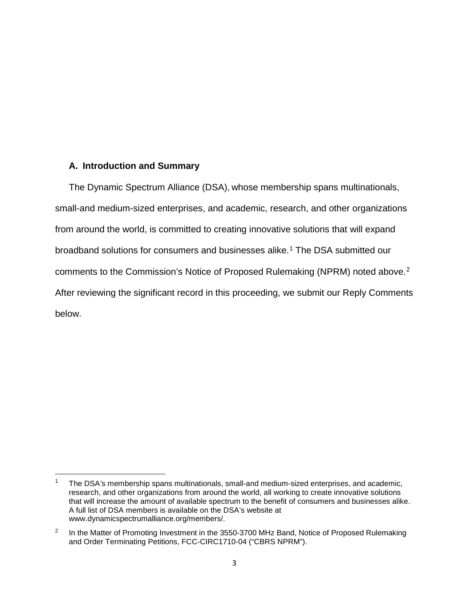### **A. Introduction and Summary**

 $\overline{\phantom{a}}$ 

The Dynamic Spectrum Alliance (DSA), whose membership spans multinationals, small-and medium-sized enterprises, and academic, research, and other organizations from around the world, is committed to creating innovative solutions that will expand broadband solutions for consumers and businesses alike.[1](#page-2-0) The DSA submitted our comments to the Commission's Notice of Proposed Rulemaking (NPRM) noted above.[2](#page-2-1) After reviewing the significant record in this proceeding, we submit our Reply Comments below.

<span id="page-2-0"></span><sup>1</sup> The DSA's membership spans multinationals, small-and medium-sized enterprises, and academic, research, and other organizations from around the world, all working to create innovative solutions that will increase the amount of available spectrum to the benefit of consumers and businesses alike. A full list of DSA members is available on the DSA's website at www.dynamicspectrumalliance.org/members/.

<span id="page-2-1"></span><sup>&</sup>lt;sup>2</sup> In the Matter of Promoting Investment in the 3550-3700 MHz Band, Notice of Proposed Rulemaking and Order Terminating Petitions, FCC-CIRC1710-04 ("CBRS NPRM").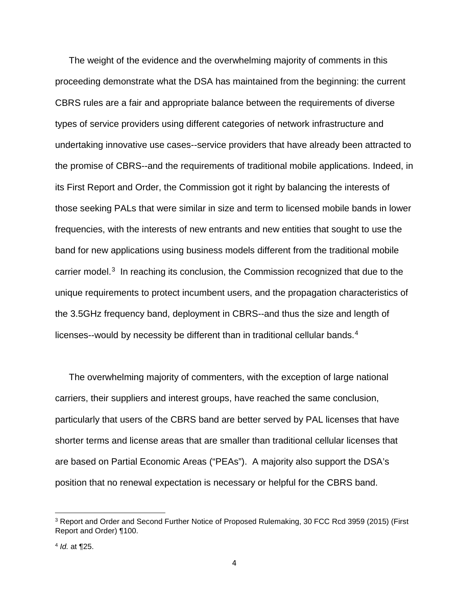The weight of the evidence and the overwhelming majority of comments in this proceeding demonstrate what the DSA has maintained from the beginning: the current CBRS rules are a fair and appropriate balance between the requirements of diverse types of service providers using different categories of network infrastructure and undertaking innovative use cases--service providers that have already been attracted to the promise of CBRS--and the requirements of traditional mobile applications. Indeed, in its First Report and Order, the Commission got it right by balancing the interests of those seeking PALs that were similar in size and term to licensed mobile bands in lower frequencies, with the interests of new entrants and new entities that sought to use the band for new applications using business models different from the traditional mobile carrier model. $3$  In reaching its conclusion, the Commission recognized that due to the unique requirements to protect incumbent users, and the propagation characteristics of the 3.5GHz frequency band, deployment in CBRS--and thus the size and length of licenses--would by necessity be different than in traditional cellular bands.[4](#page-3-1) 

The overwhelming majority of commenters, with the exception of large national carriers, their suppliers and interest groups, have reached the same conclusion, particularly that users of the CBRS band are better served by PAL licenses that have shorter terms and license areas that are smaller than traditional cellular licenses that are based on Partial Economic Areas ("PEAs"). A majority also support the DSA's position that no renewal expectation is necessary or helpful for the CBRS band.

<span id="page-3-0"></span><sup>3</sup> Report and Order and Second Further Notice of Proposed Rulemaking, 30 FCC Rcd 3959 (2015) (First Report and Order) ¶100.

<span id="page-3-1"></span><sup>4</sup> *Id.* at ¶25.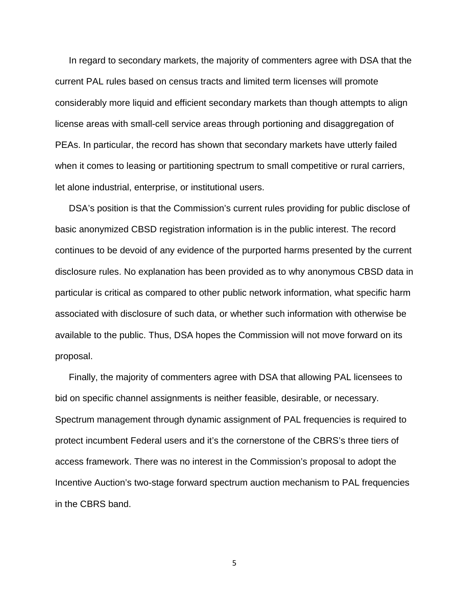In regard to secondary markets, the majority of commenters agree with DSA that the current PAL rules based on census tracts and limited term licenses will promote considerably more liquid and efficient secondary markets than though attempts to align license areas with small-cell service areas through portioning and disaggregation of PEAs. In particular, the record has shown that secondary markets have utterly failed when it comes to leasing or partitioning spectrum to small competitive or rural carriers, let alone industrial, enterprise, or institutional users.

DSA's position is that the Commission's current rules providing for public disclose of basic anonymized CBSD registration information is in the public interest. The record continues to be devoid of any evidence of the purported harms presented by the current disclosure rules. No explanation has been provided as to why anonymous CBSD data in particular is critical as compared to other public network information, what specific harm associated with disclosure of such data, or whether such information with otherwise be available to the public. Thus, DSA hopes the Commission will not move forward on its proposal.

Finally, the majority of commenters agree with DSA that allowing PAL licensees to bid on specific channel assignments is neither feasible, desirable, or necessary. Spectrum management through dynamic assignment of PAL frequencies is required to protect incumbent Federal users and it's the cornerstone of the CBRS's three tiers of access framework. There was no interest in the Commission's proposal to adopt the Incentive Auction's two-stage forward spectrum auction mechanism to PAL frequencies in the CBRS band.

5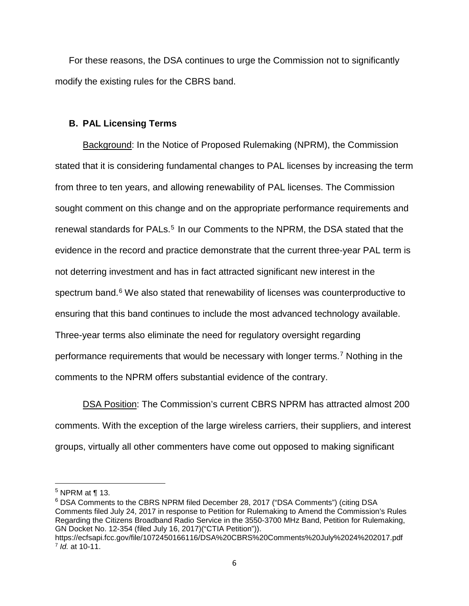For these reasons, the DSA continues to urge the Commission not to significantly modify the existing rules for the CBRS band.

## **B. PAL Licensing Terms**

Background: In the Notice of Proposed Rulemaking (NPRM), the Commission stated that it is considering fundamental changes to PAL licenses by increasing the term from three to ten years, and allowing renewability of PAL licenses. The Commission sought comment on this change and on the appropriate performance requirements and renewal standards for PALs.<sup>5</sup> In our Comments to the NPRM, the DSA stated that the evidence in the record and practice demonstrate that the current three-year PAL term is not deterring investment and has in fact attracted significant new interest in the spectrum band.<sup>[6](#page-5-1)</sup> We also stated that renewability of licenses was counterproductive to ensuring that this band continues to include the most advanced technology available. Three-year terms also eliminate the need for regulatory oversight regarding performance requirements that would be necessary with longer terms.[7](#page-5-2) Nothing in the comments to the NPRM offers substantial evidence of the contrary.

DSA Position: The Commission's current CBRS NPRM has attracted almost 200 comments. With the exception of the large wireless carriers, their suppliers, and interest groups, virtually all other commenters have come out opposed to making significant

 $\overline{\phantom{a}}$ 

<span id="page-5-1"></span><sup>6</sup> DSA Comments to the CBRS NPRM filed December 28, 2017 ("DSA Comments") (citing DSA Comments filed July 24, 2017 in response to Petition for Rulemaking to Amend the Commission's Rules Regarding the Citizens Broadband Radio Service in the 3550-3700 MHz Band, Petition for Rulemaking, GN Docket No. 12-354 (filed July 16, 2017)("CTIA Petition")).

<span id="page-5-0"></span><sup>5</sup> NPRM at ¶ 13.

<span id="page-5-2"></span>https://ecfsapi.fcc.gov/file/1072450166116/DSA%20CBRS%20Comments%20July%2024%202017.pdf <sup>7</sup> *Id.* at 10-11.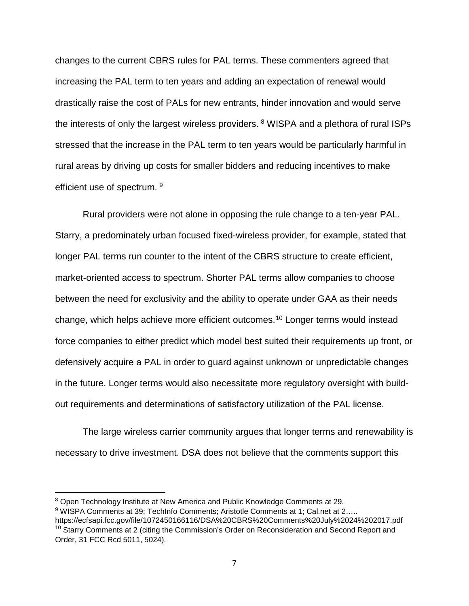changes to the current CBRS rules for PAL terms. These commenters agreed that increasing the PAL term to ten years and adding an expectation of renewal would drastically raise the cost of PALs for new entrants, hinder innovation and would serve the interests of only the largest wireless providers. <sup>[8](#page-6-0)</sup> WISPA and a plethora of rural ISPs stressed that the increase in the PAL term to ten years would be particularly harmful in rural areas by driving up costs for smaller bidders and reducing incentives to make efficient use of spectrum. <sup>9</sup>

Rural providers were not alone in opposing the rule change to a ten-year PAL. Starry, a predominately urban focused fixed-wireless provider, for example, stated that longer PAL terms run counter to the intent of the CBRS structure to create efficient, market-oriented access to spectrum. Shorter PAL terms allow companies to choose between the need for exclusivity and the ability to operate under GAA as their needs change, which helps achieve more efficient outcomes. [10](#page-6-2) Longer terms would instead force companies to either predict which model best suited their requirements up front, or defensively acquire a PAL in order to guard against unknown or unpredictable changes in the future. Longer terms would also necessitate more regulatory oversight with buildout requirements and determinations of satisfactory utilization of the PAL license.

The large wireless carrier community argues that longer terms and renewability is necessary to drive investment. DSA does not believe that the comments support this

<span id="page-6-0"></span><sup>8</sup> Open Technology Institute at New America and Public Knowledge Comments at 29.

<span id="page-6-2"></span><span id="page-6-1"></span><sup>9</sup> WISPA Comments at 39; TechInfo Comments; Aristotle Comments at 1; Cal.net at 2….. https://ecfsapi.fcc.gov/file/1072450166116/DSA%20CBRS%20Comments%20July%2024%202017.pdf <sup>10</sup> Starry Comments at 2 (citing the Commission's Order on Reconsideration and Second Report and Order, 31 FCC Rcd 5011, 5024).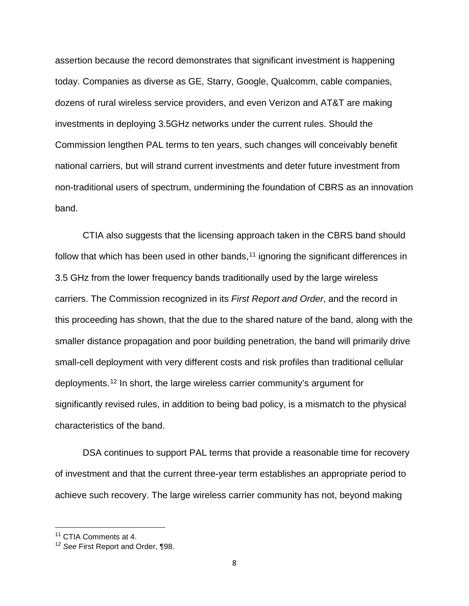assertion because the record demonstrates that significant investment is happening today. Companies as diverse as GE, Starry, Google, Qualcomm, cable companies, dozens of rural wireless service providers, and even Verizon and AT&T are making investments in deploying 3.5GHz networks under the current rules. Should the Commission lengthen PAL terms to ten years, such changes will conceivably benefit national carriers, but will strand current investments and deter future investment from non-traditional users of spectrum, undermining the foundation of CBRS as an innovation band.

CTIA also suggests that the licensing approach taken in the CBRS band should follow that which has been used in other bands, $11$  ignoring the significant differences in 3.5 GHz from the lower frequency bands traditionally used by the large wireless carriers. The Commission recognized in its *First Report and Order*, and the record in this proceeding has shown, that the due to the shared nature of the band, along with the smaller distance propagation and poor building penetration, the band will primarily drive small-cell deployment with very different costs and risk profiles than traditional cellular deployments.[12](#page-7-1) In short, the large wireless carrier community's argument for significantly revised rules, in addition to being bad policy, is a mismatch to the physical characteristics of the band.

DSA continues to support PAL terms that provide a reasonable time for recovery of investment and that the current three-year term establishes an appropriate period to achieve such recovery. The large wireless carrier community has not, beyond making

l

<span id="page-7-0"></span><sup>11</sup> CTIA Comments at 4.

<span id="page-7-1"></span><sup>12</sup> *See* First Report and Order, ¶98.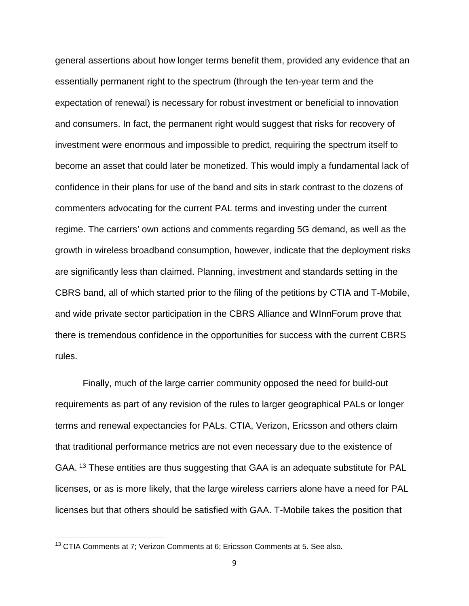general assertions about how longer terms benefit them, provided any evidence that an essentially permanent right to the spectrum (through the ten-year term and the expectation of renewal) is necessary for robust investment or beneficial to innovation and consumers. In fact, the permanent right would suggest that risks for recovery of investment were enormous and impossible to predict, requiring the spectrum itself to become an asset that could later be monetized. This would imply a fundamental lack of confidence in their plans for use of the band and sits in stark contrast to the dozens of commenters advocating for the current PAL terms and investing under the current regime. The carriers' own actions and comments regarding 5G demand, as well as the growth in wireless broadband consumption, however, indicate that the deployment risks are significantly less than claimed. Planning, investment and standards setting in the CBRS band, all of which started prior to the filing of the petitions by CTIA and T-Mobile, and wide private sector participation in the CBRS Alliance and WInnForum prove that there is tremendous confidence in the opportunities for success with the current CBRS rules.

Finally, much of the large carrier community opposed the need for build-out requirements as part of any revision of the rules to larger geographical PALs or longer terms and renewal expectancies for PALs. CTIA, Verizon, Ericsson and others claim that traditional performance metrics are not even necessary due to the existence of GAA. <sup>[13](#page-8-0)</sup> These entities are thus suggesting that GAA is an adequate substitute for PAL licenses, or as is more likely, that the large wireless carriers alone have a need for PAL licenses but that others should be satisfied with GAA. T-Mobile takes the position that

<span id="page-8-0"></span><sup>&</sup>lt;sup>13</sup> CTIA Comments at 7; Verizon Comments at 6; Ericsson Comments at 5. See also.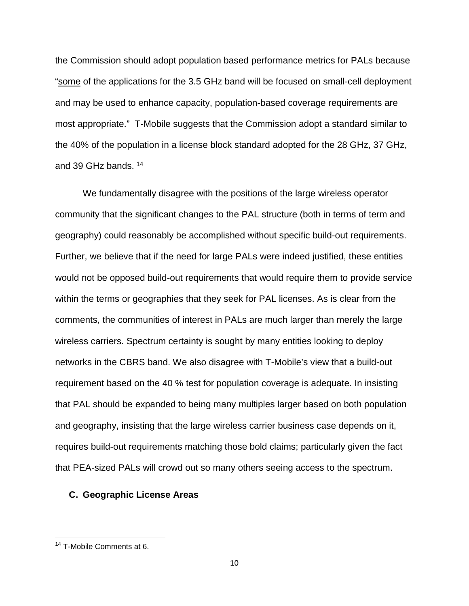the Commission should adopt population based performance metrics for PALs because "some of the applications for the 3.5 GHz band will be focused on small-cell deployment and may be used to enhance capacity, population-based coverage requirements are most appropriate." T-Mobile suggests that the Commission adopt a standard similar to the 40% of the population in a license block standard adopted for the 28 GHz, 37 GHz, and 39 GHz bands. [14](#page-9-0)

We fundamentally disagree with the positions of the large wireless operator community that the significant changes to the PAL structure (both in terms of term and geography) could reasonably be accomplished without specific build-out requirements. Further, we believe that if the need for large PALs were indeed justified, these entities would not be opposed build-out requirements that would require them to provide service within the terms or geographies that they seek for PAL licenses. As is clear from the comments, the communities of interest in PALs are much larger than merely the large wireless carriers. Spectrum certainty is sought by many entities looking to deploy networks in the CBRS band. We also disagree with T-Mobile's view that a build-out requirement based on the 40 % test for population coverage is adequate. In insisting that PAL should be expanded to being many multiples larger based on both population and geography, insisting that the large wireless carrier business case depends on it, requires build-out requirements matching those bold claims; particularly given the fact that PEA-sized PALs will crowd out so many others seeing access to the spectrum.

#### **C. Geographic License Areas**

<span id="page-9-0"></span><sup>&</sup>lt;sup>14</sup> T-Mobile Comments at 6.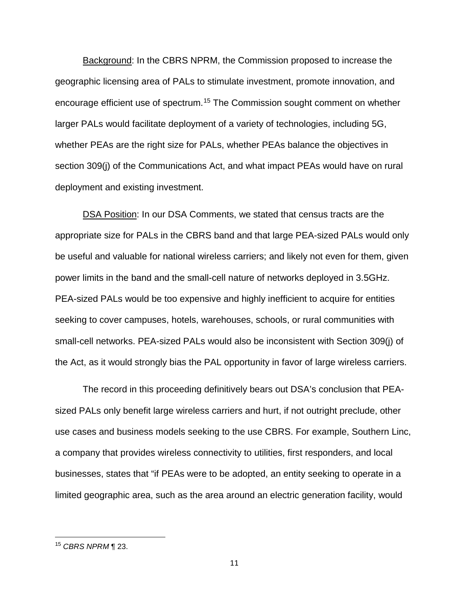Background: In the CBRS NPRM, the Commission proposed to increase the geographic licensing area of PALs to stimulate investment, promote innovation, and encourage efficient use of spectrum.[15](#page-10-0) The Commission sought comment on whether larger PALs would facilitate deployment of a variety of technologies, including 5G, whether PEAs are the right size for PALs, whether PEAs balance the objectives in section 309(j) of the Communications Act, and what impact PEAs would have on rural deployment and existing investment.

DSA Position: In our DSA Comments, we stated that census tracts are the appropriate size for PALs in the CBRS band and that large PEA-sized PALs would only be useful and valuable for national wireless carriers; and likely not even for them, given power limits in the band and the small-cell nature of networks deployed in 3.5GHz. PEA-sized PALs would be too expensive and highly inefficient to acquire for entities seeking to cover campuses, hotels, warehouses, schools, or rural communities with small-cell networks. PEA-sized PALs would also be inconsistent with Section 309(j) of the Act, as it would strongly bias the PAL opportunity in favor of large wireless carriers.

The record in this proceeding definitively bears out DSA's conclusion that PEAsized PALs only benefit large wireless carriers and hurt, if not outright preclude, other use cases and business models seeking to the use CBRS. For example, Southern Linc, a company that provides wireless connectivity to utilities, first responders, and local businesses, states that "if PEAs were to be adopted, an entity seeking to operate in a limited geographic area, such as the area around an electric generation facility, would

<span id="page-10-0"></span><sup>15</sup> *CBRS NPRM* ¶ 23.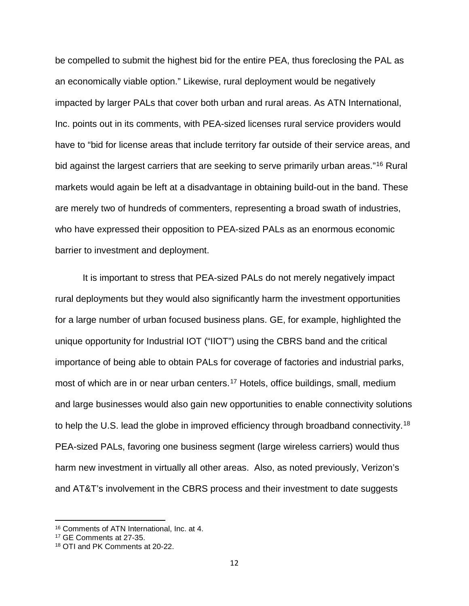be compelled to submit the highest bid for the entire PEA, thus foreclosing the PAL as an economically viable option." Likewise, rural deployment would be negatively impacted by larger PALs that cover both urban and rural areas. As ATN International, Inc. points out in its comments, with PEA-sized licenses rural service providers would have to "bid for license areas that include territory far outside of their service areas, and bid against the largest carriers that are seeking to serve primarily urban areas."<sup>[16](#page-11-0)</sup> Rural markets would again be left at a disadvantage in obtaining build-out in the band. These are merely two of hundreds of commenters, representing a broad swath of industries, who have expressed their opposition to PEA-sized PALs as an enormous economic barrier to investment and deployment.

It is important to stress that PEA-sized PALs do not merely negatively impact rural deployments but they would also significantly harm the investment opportunities for a large number of urban focused business plans. GE, for example, highlighted the unique opportunity for Industrial IOT ("IIOT") using the CBRS band and the critical importance of being able to obtain PALs for coverage of factories and industrial parks, most of which are in or near urban centers.<sup>[17](#page-11-1)</sup> Hotels, office buildings, small, medium and large businesses would also gain new opportunities to enable connectivity solutions to help the U.S. lead the globe in improved efficiency through broadband connectivity.<sup>18</sup> PEA-sized PALs, favoring one business segment (large wireless carriers) would thus harm new investment in virtually all other areas. Also, as noted previously, Verizon's and AT&T's involvement in the CBRS process and their investment to date suggests

<span id="page-11-0"></span><sup>16</sup> Comments of ATN International, Inc. at 4.

<span id="page-11-1"></span><sup>17</sup> GE Comments at 27-35.

<span id="page-11-2"></span><sup>18</sup> OTI and PK Comments at 20-22.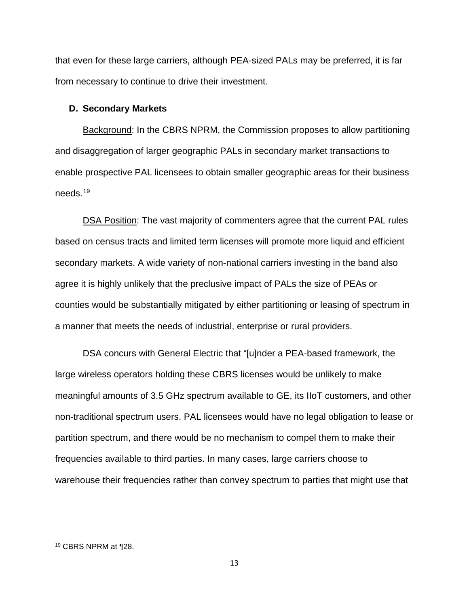that even for these large carriers, although PEA-sized PALs may be preferred, it is far from necessary to continue to drive their investment.

## **D. Secondary Markets**

Background: In the CBRS NPRM, the Commission proposes to allow partitioning and disaggregation of larger geographic PALs in secondary market transactions to enable prospective PAL licensees to obtain smaller geographic areas for their business needs.[19](#page-12-0)

DSA Position: The vast majority of commenters agree that the current PAL rules based on census tracts and limited term licenses will promote more liquid and efficient secondary markets. A wide variety of non-national carriers investing in the band also agree it is highly unlikely that the preclusive impact of PALs the size of PEAs or counties would be substantially mitigated by either partitioning or leasing of spectrum in a manner that meets the needs of industrial, enterprise or rural providers.

DSA concurs with General Electric that "[u]nder a PEA-based framework, the large wireless operators holding these CBRS licenses would be unlikely to make meaningful amounts of 3.5 GHz spectrum available to GE, its IIoT customers, and other non-traditional spectrum users. PAL licensees would have no legal obligation to lease or partition spectrum, and there would be no mechanism to compel them to make their frequencies available to third parties. In many cases, large carriers choose to warehouse their frequencies rather than convey spectrum to parties that might use that

<span id="page-12-0"></span><sup>19</sup> CBRS NPRM at ¶28.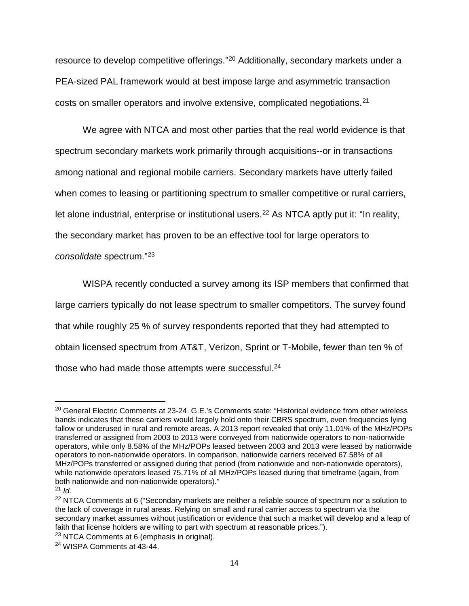resource to develop competitive offerings."[20](#page-13-0) Additionally, secondary markets under a PEA-sized PAL framework would at best impose large and asymmetric transaction costs on smaller operators and involve extensive, complicated negotiations.[21](#page-13-1)

We agree with NTCA and most other parties that the real world evidence is that spectrum secondary markets work primarily through acquisitions--or in transactions among national and regional mobile carriers. Secondary markets have utterly failed when comes to leasing or partitioning spectrum to smaller competitive or rural carriers, let alone industrial, enterprise or institutional users.<sup>[22](#page-13-2)</sup> As NTCA aptly put it: "In reality, the secondary market has proven to be an effective tool for large operators to *consolidate* spectrum."[23](#page-13-3)

WISPA recently conducted a survey among its ISP members that confirmed that large carriers typically do not lease spectrum to smaller competitors. The survey found that while roughly 25 % of survey respondents reported that they had attempted to obtain licensed spectrum from AT&T, Verizon, Sprint or T-Mobile, fewer than ten % of those who had made those attempts were successful.<sup>24</sup>

<span id="page-13-0"></span><sup>&</sup>lt;sup>20</sup> General Electric Comments at 23-24. G.E.'s Comments state: "Historical evidence from other wireless bands indicates that these carriers would largely hold onto their CBRS spectrum, even frequencies lying fallow or underused in rural and remote areas. A 2013 report revealed that only 11.01% of the MHz/POPs transferred or assigned from 2003 to 2013 were conveyed from nationwide operators to non-nationwide operators, while only 8.58% of the MHz/POPs leased between 2003 and 2013 were leased by nationwide operators to non-nationwide operators. In comparison, nationwide carriers received 67.58% of all MHz/POPs transferred or assigned during that period (from nationwide and non-nationwide operators), while nationwide operators leased 75.71% of all MHz/POPs leased during that timeframe (again, from both nationwide and non-nationwide operators)."

<span id="page-13-1"></span><sup>21</sup> *Id.*

<span id="page-13-2"></span><sup>&</sup>lt;sup>22</sup> NTCA Comments at 6 ("Secondary markets are neither a reliable source of spectrum nor a solution to the lack of coverage in rural areas. Relying on small and rural carrier access to spectrum via the secondary market assumes without justification or evidence that such a market will develop and a leap of faith that license holders are willing to part with spectrum at reasonable prices.").

<span id="page-13-3"></span><sup>&</sup>lt;sup>23</sup> NTCA Comments at 6 (emphasis in original).

<span id="page-13-4"></span><sup>24</sup> WISPA Comments at 43-44.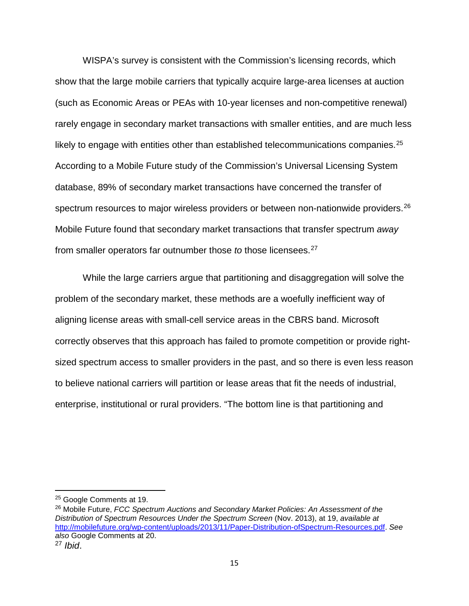WISPA's survey is consistent with the Commission's licensing records, which show that the large mobile carriers that typically acquire large-area licenses at auction (such as Economic Areas or PEAs with 10-year licenses and non-competitive renewal) rarely engage in secondary market transactions with smaller entities, and are much less likely to engage with entities other than established telecommunications companies.<sup>[25](#page-14-0)</sup> According to a Mobile Future study of the Commission's Universal Licensing System database, 89% of secondary market transactions have concerned the transfer of spectrum resources to major wireless providers or between non-nationwide providers.<sup>[26](#page-14-1)</sup> Mobile Future found that secondary market transactions that transfer spectrum *away*  from smaller operators far outnumber those *to* those licensees.[27](#page-14-2)

While the large carriers argue that partitioning and disaggregation will solve the problem of the secondary market, these methods are a woefully inefficient way of aligning license areas with small-cell service areas in the CBRS band. Microsoft correctly observes that this approach has failed to promote competition or provide rightsized spectrum access to smaller providers in the past, and so there is even less reason to believe national carriers will partition or lease areas that fit the needs of industrial, enterprise, institutional or rural providers. "The bottom line is that partitioning and

l

<span id="page-14-0"></span><sup>&</sup>lt;sup>25</sup> Google Comments at 19.

<span id="page-14-1"></span><sup>26</sup> Mobile Future, *FCC Spectrum Auctions and Secondary Market Policies: An Assessment of the Distribution of Spectrum Resources Under the Spectrum Screen* (Nov. 2013), at 19, *available at* [http://mobilefuture.org/wp-content/uploads/2013/11/Paper-Distribution-ofSpectrum-Resources.pdf.](http://mobilefuture.org/wp-content/uploads/2013/11/Paper-Distribution-ofSpectrum-Resources.pdf) *See also* Google Comments at 20.

<span id="page-14-2"></span><sup>27</sup> *Ibid*.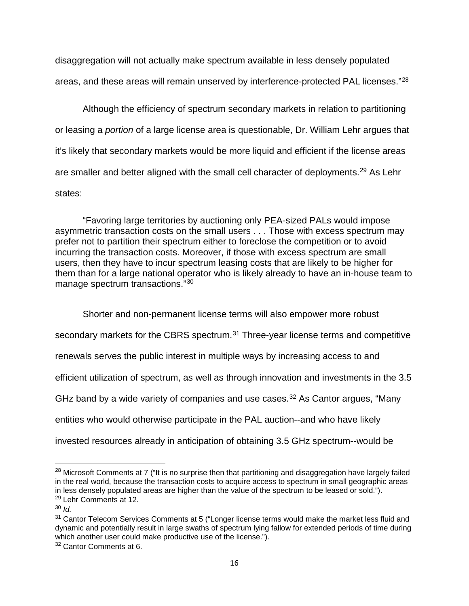disaggregation will not actually make spectrum available in less densely populated areas, and these areas will remain unserved by interference-protected PAL licenses."[28](#page-15-0)

Although the efficiency of spectrum secondary markets in relation to partitioning or leasing a *portion* of a large license area is questionable, Dr. William Lehr argues that it's likely that secondary markets would be more liquid and efficient if the license areas are smaller and better aligned with the small cell character of deployments.<sup>[29](#page-15-1)</sup> As Lehr states:

"Favoring large territories by auctioning only PEA-sized PALs would impose asymmetric transaction costs on the small users . . . Those with excess spectrum may prefer not to partition their spectrum either to foreclose the competition or to avoid incurring the transaction costs. Moreover, if those with excess spectrum are small users, then they have to incur spectrum leasing costs that are likely to be higher for them than for a large national operator who is likely already to have an in-house team to manage spectrum transactions."[30](#page-15-2)

Shorter and non-permanent license terms will also empower more robust

secondary markets for the CBRS spectrum.<sup>[31](#page-15-3)</sup> Three-year license terms and competitive

renewals serves the public interest in multiple ways by increasing access to and

efficient utilization of spectrum, as well as through innovation and investments in the 3.5

GHz band by a wide variety of companies and use cases.<sup>[32](#page-15-4)</sup> As Cantor argues, "Many

entities who would otherwise participate in the PAL auction--and who have likely

invested resources already in anticipation of obtaining 3.5 GHz spectrum--would be

l

<span id="page-15-0"></span><sup>&</sup>lt;sup>28</sup> Microsoft Comments at 7 ("It is no surprise then that partitioning and disaggregation have largely failed in the real world, because the transaction costs to acquire access to spectrum in small geographic areas in less densely populated areas are higher than the value of the spectrum to be leased or sold.").

<span id="page-15-1"></span><sup>&</sup>lt;sup>29</sup> Lehr Comments at 12.

<span id="page-15-2"></span><sup>30</sup> *Id.*

<span id="page-15-3"></span> $31$  Cantor Telecom Services Comments at 5 ("Longer license terms would make the market less fluid and dynamic and potentially result in large swaths of spectrum lying fallow for extended periods of time during which another user could make productive use of the license.").

<span id="page-15-4"></span><sup>&</sup>lt;sup>32</sup> Cantor Comments at 6.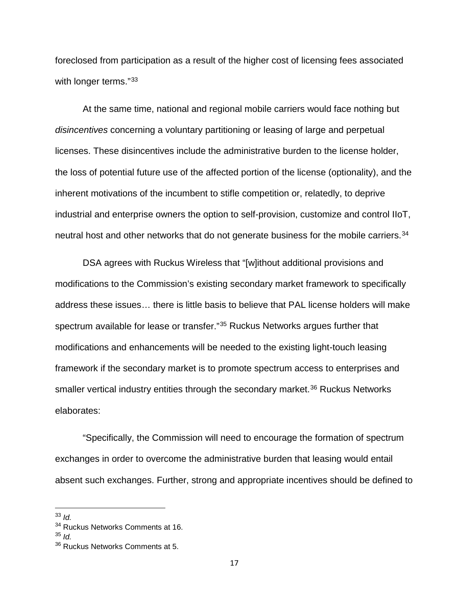foreclosed from participation as a result of the higher cost of licensing fees associated with longer terms."<sup>[33](#page-16-0)</sup>

At the same time, national and regional mobile carriers would face nothing but *disincentives* concerning a voluntary partitioning or leasing of large and perpetual licenses. These disincentives include the administrative burden to the license holder, the loss of potential future use of the affected portion of the license (optionality), and the inherent motivations of the incumbent to stifle competition or, relatedly, to deprive industrial and enterprise owners the option to self-provision, customize and control IIoT, neutral host and other networks that do not generate business for the mobile carriers.<sup>[34](#page-16-1)</sup>

DSA agrees with Ruckus Wireless that "[w]ithout additional provisions and modifications to the Commission's existing secondary market framework to specifically address these issues… there is little basis to believe that PAL license holders will make spectrum available for lease or transfer."[35](#page-16-2) Ruckus Networks argues further that modifications and enhancements will be needed to the existing light-touch leasing framework if the secondary market is to promote spectrum access to enterprises and smaller vertical industry entities through the secondary market.<sup>[36](#page-16-3)</sup> Ruckus Networks elaborates:

"Specifically, the Commission will need to encourage the formation of spectrum exchanges in order to overcome the administrative burden that leasing would entail absent such exchanges. Further, strong and appropriate incentives should be defined to

<span id="page-16-0"></span><sup>33</sup> *Id.*

<span id="page-16-1"></span><sup>&</sup>lt;sup>34</sup> Ruckus Networks Comments at 16.

<span id="page-16-2"></span><sup>35</sup> *Id.*

<span id="page-16-3"></span><sup>&</sup>lt;sup>36</sup> Ruckus Networks Comments at 5.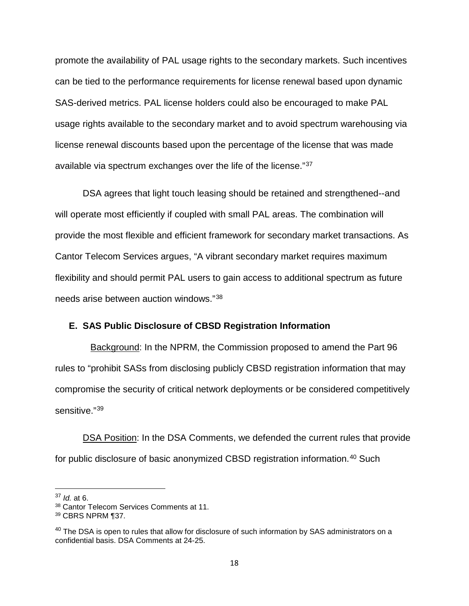promote the availability of PAL usage rights to the secondary markets. Such incentives can be tied to the performance requirements for license renewal based upon dynamic SAS-derived metrics. PAL license holders could also be encouraged to make PAL usage rights available to the secondary market and to avoid spectrum warehousing via license renewal discounts based upon the percentage of the license that was made available via spectrum exchanges over the life of the license."[37](#page-17-0)

DSA agrees that light touch leasing should be retained and strengthened--and will operate most efficiently if coupled with small PAL areas. The combination will provide the most flexible and efficient framework for secondary market transactions. As Cantor Telecom Services argues, "A vibrant secondary market requires maximum flexibility and should permit PAL users to gain access to additional spectrum as future needs arise between auction windows."[38](#page-17-1)

### **E. SAS Public Disclosure of CBSD Registration Information**

 Background: In the NPRM, the Commission proposed to amend the Part 96 rules to "prohibit SASs from disclosing publicly CBSD registration information that may compromise the security of critical network deployments or be considered competitively sensitive."[39](#page-17-2)

DSA Position: In the DSA Comments, we defended the current rules that provide for public disclosure of basic anonymized CBSD registration information.<sup>[40](#page-17-3)</sup> Such

l

<span id="page-17-0"></span><sup>37</sup> *Id.* at 6.

<span id="page-17-1"></span><sup>38</sup> Cantor Telecom Services Comments at 11.

<span id="page-17-2"></span> $39$  CBRS NPRM ¶37.

<span id="page-17-3"></span><sup>&</sup>lt;sup>40</sup> The DSA is open to rules that allow for disclosure of such information by SAS administrators on a confidential basis. DSA Comments at 24-25.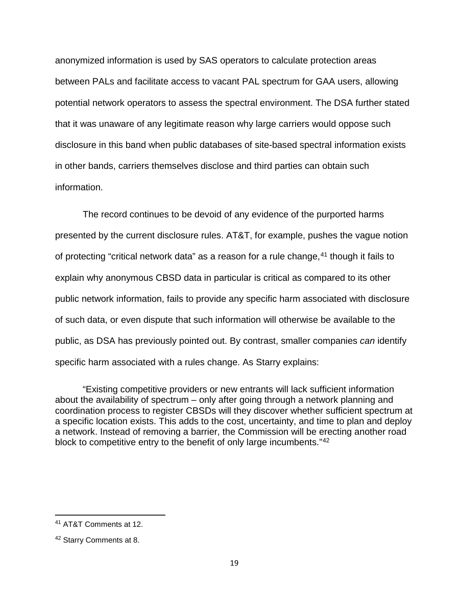anonymized information is used by SAS operators to calculate protection areas between PALs and facilitate access to vacant PAL spectrum for GAA users, allowing potential network operators to assess the spectral environment. The DSA further stated that it was unaware of any legitimate reason why large carriers would oppose such disclosure in this band when public databases of site-based spectral information exists in other bands, carriers themselves disclose and third parties can obtain such information.

The record continues to be devoid of any evidence of the purported harms presented by the current disclosure rules. AT&T, for example, pushes the vague notion of protecting "critical network data" as a reason for a rule change,<sup>[41](#page-18-0)</sup> though it fails to explain why anonymous CBSD data in particular is critical as compared to its other public network information, fails to provide any specific harm associated with disclosure of such data, or even dispute that such information will otherwise be available to the public, as DSA has previously pointed out. By contrast, smaller companies *can* identify specific harm associated with a rules change. As Starry explains:

"Existing competitive providers or new entrants will lack sufficient information about the availability of spectrum – only after going through a network planning and coordination process to register CBSDs will they discover whether sufficient spectrum at a specific location exists. This adds to the cost, uncertainty, and time to plan and deploy a network. Instead of removing a barrier, the Commission will be erecting another road block to competitive entry to the benefit of only large incumbents."[42](#page-18-1)

<span id="page-18-0"></span><sup>41</sup> AT&T Comments at 12.

<span id="page-18-1"></span><sup>42</sup> Starry Comments at 8.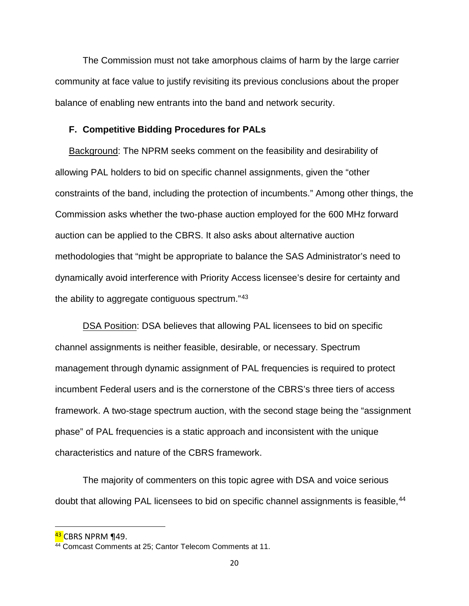The Commission must not take amorphous claims of harm by the large carrier community at face value to justify revisiting its previous conclusions about the proper balance of enabling new entrants into the band and network security.

#### **F. Competitive Bidding Procedures for PALs**

Background: The NPRM seeks comment on the feasibility and desirability of allowing PAL holders to bid on specific channel assignments, given the "other constraints of the band, including the protection of incumbents." Among other things, the Commission asks whether the two-phase auction employed for the 600 MHz forward auction can be applied to the CBRS. It also asks about alternative auction methodologies that "might be appropriate to balance the SAS Administrator's need to dynamically avoid interference with Priority Access licensee's desire for certainty and the ability to aggregate contiguous spectrum."[43](#page-19-0)

DSA Position: DSA believes that allowing PAL licensees to bid on specific channel assignments is neither feasible, desirable, or necessary. Spectrum management through dynamic assignment of PAL frequencies is required to protect incumbent Federal users and is the cornerstone of the CBRS's three tiers of access framework. A two-stage spectrum auction, with the second stage being the "assignment phase" of PAL frequencies is a static approach and inconsistent with the unique characteristics and nature of the CBRS framework.

The majority of commenters on this topic agree with DSA and voice serious doubt that allowing PAL licensees to bid on specific channel assignments is feasible, <sup>[44](#page-19-1)</sup>

<span id="page-19-0"></span>**<sup>43</sup> CBRS NPRM ¶49.** 

<span id="page-19-1"></span><sup>&</sup>lt;sup>44</sup> Comcast Comments at 25; Cantor Telecom Comments at 11.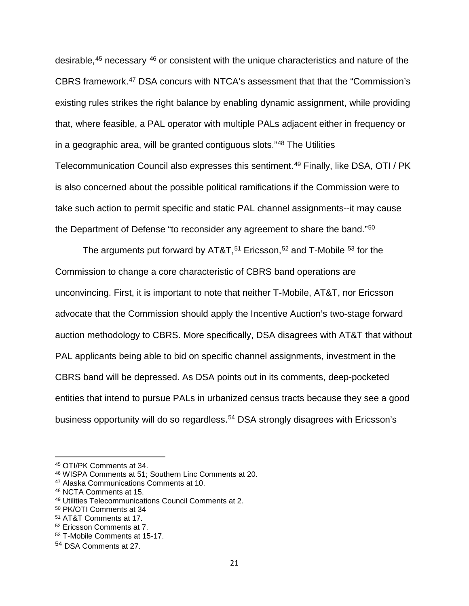desirable,<sup>[45](#page-20-0)</sup> necessary <sup>[46](#page-20-1)</sup> or consistent with the unique characteristics and nature of the CBRS framework. [47](#page-20-2) DSA concurs with NTCA's assessment that that the "Commission's existing rules strikes the right balance by enabling dynamic assignment, while providing that, where feasible, a PAL operator with multiple PALs adjacent either in frequency or in a geographic area, will be granted contiguous slots."[48](#page-20-3) The Utilities Telecommunication Council also expresses this sentiment.<sup>[49](#page-20-4)</sup> Finally, like DSA, OTI / PK is also concerned about the possible political ramifications if the Commission were to take such action to permit specific and static PAL channel assignments--it may cause the Department of Defense "to reconsider any agreement to share the band."<sup>[50](#page-20-5)</sup>

The arguments put forward by AT&T,<sup>[51](#page-20-6)</sup> Ericsson,<sup>[52](#page-20-7)</sup> and T-Mobile <sup>[53](#page-20-8)</sup> for the Commission to change a core characteristic of CBRS band operations are unconvincing. First, it is important to note that neither T-Mobile, AT&T, nor Ericsson advocate that the Commission should apply the Incentive Auction's two-stage forward auction methodology to CBRS. More specifically, DSA disagrees with AT&T that without PAL applicants being able to bid on specific channel assignments, investment in the CBRS band will be depressed. As DSA points out in its comments, deep-pocketed entities that intend to pursue PALs in urbanized census tracts because they see a good business opportunity will do so regardless.<sup>[54](#page-20-9)</sup> DSA strongly disagrees with Ericsson's

<span id="page-20-0"></span><sup>45</sup> OTI/PK Comments at 34.

<span id="page-20-1"></span><sup>46</sup> WISPA Comments at 51; Southern Linc Comments at 20.

<span id="page-20-2"></span><sup>47</sup> Alaska Communications Comments at 10.

<span id="page-20-3"></span><sup>48</sup> NCTA Comments at 15.

<span id="page-20-4"></span><sup>49</sup> Utilities Telecommunications Council Comments at 2.

<span id="page-20-5"></span><sup>50</sup> PK/OTI Comments at 34

<span id="page-20-6"></span><sup>51</sup> AT&T Comments at 17.

<span id="page-20-7"></span><sup>52</sup> Ericsson Comments at 7.

<span id="page-20-8"></span><sup>53</sup> T-Mobile Comments at 15-17.

<span id="page-20-9"></span><sup>54</sup> DSA Comments at 27.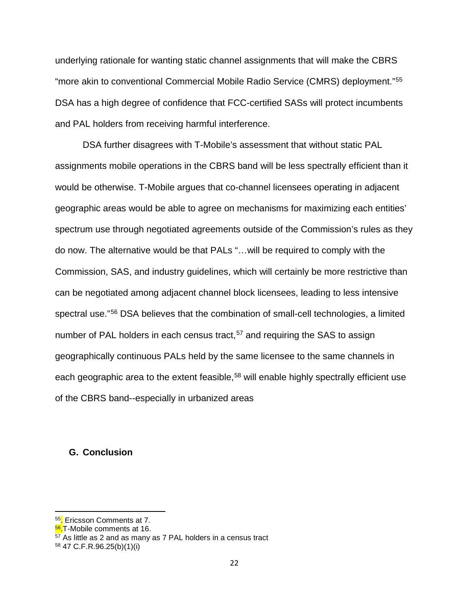underlying rationale for wanting static channel assignments that will make the CBRS "more akin to conventional Commercial Mobile Radio Service (CMRS) deployment."[55](#page-21-0) DSA has a high degree of confidence that FCC-certified SASs will protect incumbents and PAL holders from receiving harmful interference.

DSA further disagrees with T-Mobile's assessment that without static PAL assignments mobile operations in the CBRS band will be less spectrally efficient than it would be otherwise. T-Mobile argues that co-channel licensees operating in adjacent geographic areas would be able to agree on mechanisms for maximizing each entities' spectrum use through negotiated agreements outside of the Commission's rules as they do now. The alternative would be that PALs "…will be required to comply with the Commission, SAS, and industry guidelines, which will certainly be more restrictive than can be negotiated among adjacent channel block licensees, leading to less intensive spectral use."[56](#page-21-1) DSA believes that the combination of small-cell technologies, a limited number of PAL holders in each census tract,  $57$  and requiring the SAS to assign geographically continuous PALs held by the same licensee to the same channels in each geographic area to the extent feasible,<sup>[58](#page-21-3)</sup> will enable highly spectrally efficient use of the CBRS band--especially in urbanized areas

### **G. Conclusion**

<span id="page-21-0"></span><sup>&</sup>lt;sup>55</sup>. Ericsson Comments at 7.

<span id="page-21-1"></span><sup>&</sup>lt;sup>56</sup>.T-Mobile comments at 16.

<span id="page-21-2"></span> $57$  As little as 2 and as many as 7 PAL holders in a census tract

<span id="page-21-3"></span><sup>58</sup> 47 C.F.R.96.25(b)(1)(i)